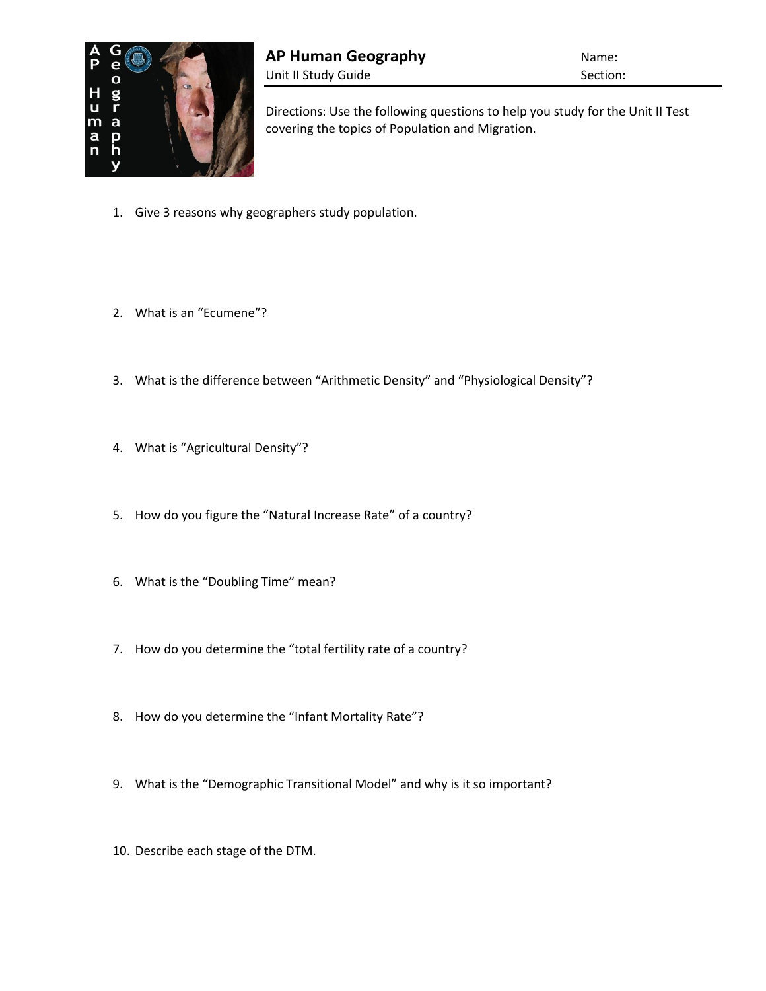

Directions: Use the following questions to help you study for the Unit II Test covering the topics of Population and Migration.

- 1. Give 3 reasons why geographers study population.
- 2. What is an "Ecumene"?
- 3. What is the difference between "Arithmetic Density" and "Physiological Density"?
- 4. What is "Agricultural Density"?
- 5. How do you figure the "Natural Increase Rate" of a country?
- 6. What is the "Doubling Time" mean?
- 7. How do you determine the "total fertility rate of a country?
- 8. How do you determine the "Infant Mortality Rate"?
- 9. What is the "Demographic Transitional Model" and why is it so important?
- 10. Describe each stage of the DTM.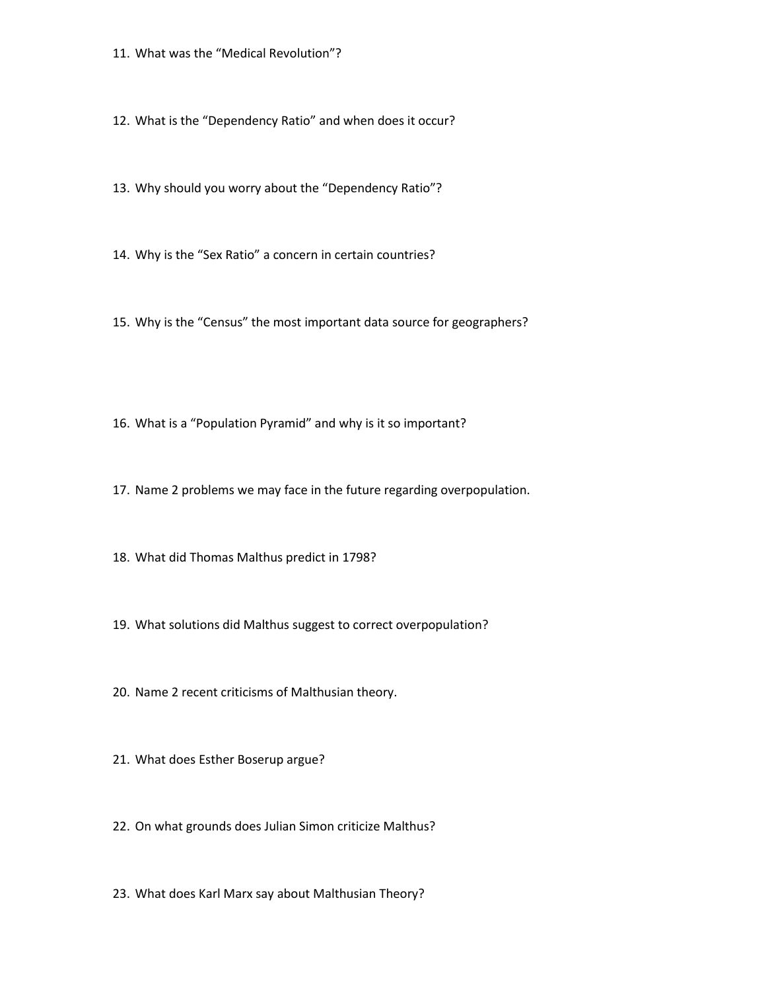- 11. What was the "Medical Revolution"?
- 12. What is the "Dependency Ratio" and when does it occur?
- 13. Why should you worry about the "Dependency Ratio"?
- 14. Why is the "Sex Ratio" a concern in certain countries?
- 15. Why is the "Census" the most important data source for geographers?
- 16. What is a "Population Pyramid" and why is it so important?
- 17. Name 2 problems we may face in the future regarding overpopulation.
- 18. What did Thomas Malthus predict in 1798?
- 19. What solutions did Malthus suggest to correct overpopulation?
- 20. Name 2 recent criticisms of Malthusian theory.
- 21. What does Esther Boserup argue?
- 22. On what grounds does Julian Simon criticize Malthus?
- 23. What does Karl Marx say about Malthusian Theory?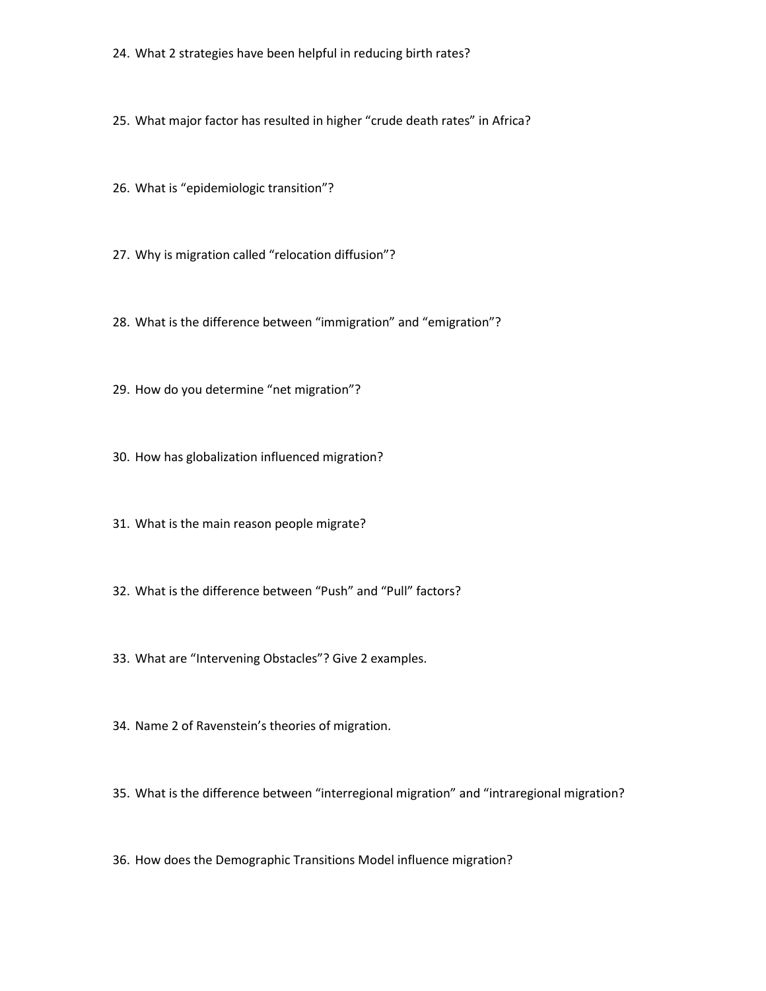- 24. What 2 strategies have been helpful in reducing birth rates?
- 25. What major factor has resulted in higher "crude death rates" in Africa?
- 26. What is "epidemiologic transition"?
- 27. Why is migration called "relocation diffusion"?
- 28. What is the difference between "immigration" and "emigration"?
- 29. How do you determine "net migration"?
- 30. How has globalization influenced migration?
- 31. What is the main reason people migrate?
- 32. What is the difference between "Push" and "Pull" factors?
- 33. What are "Intervening Obstacles"? Give 2 examples.
- 34. Name 2 of Ravenstein's theories of migration.
- 35. What is the difference between "interregional migration" and "intraregional migration?
- 36. How does the Demographic Transitions Model influence migration?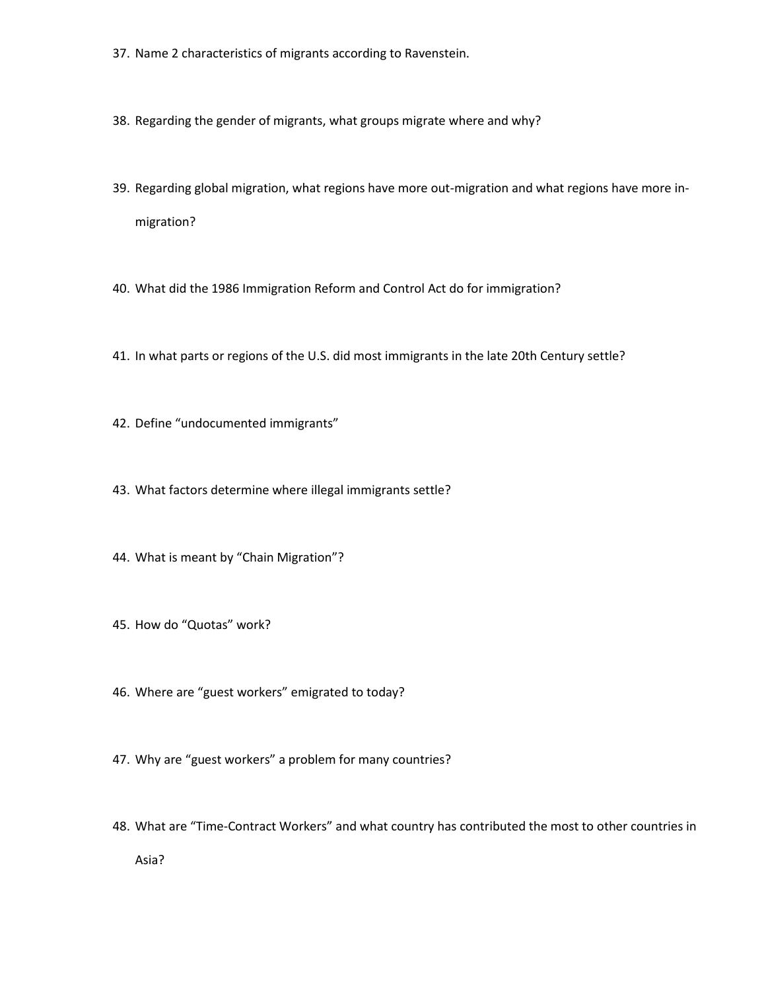- 37. Name 2 characteristics of migrants according to Ravenstein.
- 38. Regarding the gender of migrants, what groups migrate where and why?
- 39. Regarding global migration, what regions have more out-migration and what regions have more inmigration?
- 40. What did the 1986 Immigration Reform and Control Act do for immigration?
- 41. In what parts or regions of the U.S. did most immigrants in the late 20th Century settle?
- 42. Define "undocumented immigrants"
- 43. What factors determine where illegal immigrants settle?
- 44. What is meant by "Chain Migration"?
- 45. How do "Quotas" work?
- 46. Where are "guest workers" emigrated to today?
- 47. Why are "guest workers" a problem for many countries?
- 48. What are "Time-Contract Workers" and what country has contributed the most to other countries in Asia?